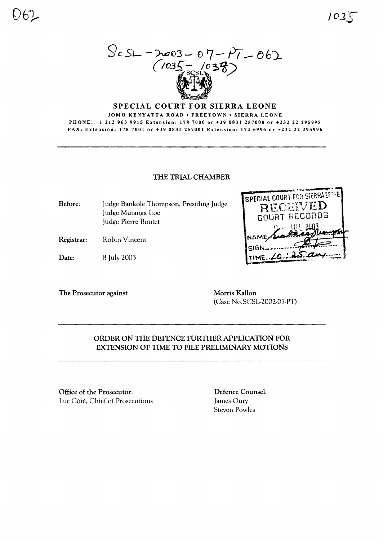$ScS1 - D003 - 07 - P7 - 062$ <br>(1035-1038)

### SPECIAL COURT FOR SIERRA LEONE

JOMO KENYATTA ROAD • FREETOWN • SIERRA LEONE PHONE: +1 212 963 9915 Extension: 178 7000 or +39 0831 257000 or +232 22 295995 FAX: Extension: 178 7001 or +39 0831 257001 Extension: 174 6996 or +232 22 295996

#### THE TRIAL CHAMBER

Before: Judge Bankole Thompson, Presiding Judge Judge Mutanga Itoe Judge Pierre Boutet

Registrar: **Robin Vincent** 

Date: 8 July 2003

The Prosecutor against

Morris Kallon (Case No.SCSL-2002-07-PT)

SPECIAL COURT FOR SIERRALENE

RECEIVED

**COURT RECORDS** 

# ORDER ON THE DEFENCE FURTHER APPLICATION FOR EXTENSION OF TIME TO FILE PRELIMINARY MOTIONS

Office of the Prosecutor: Luc Côté, Chief of Prosecutions

Defence Counsel: James Oury **Steven Powles**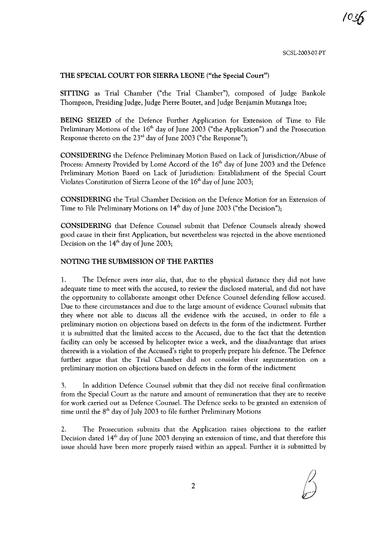SCSL-2003-07-PT

*/oJ6*

### THE SPECIAL COURT FOR SIERRA LEONE ("the Special Court")

SITTING as Trial Chamber ("the Trial Chamber"), composed of Judge Bankole Thompson, Presiding Judge, Judge Pierre Boutet, and Judge Benjamin Mutanga Itoe;

BEING SEIZED of the Defence Further Application for Extension of Time to File Preliminary Motions of the  $16<sup>th</sup>$  day of June 2003 ("the Application") and the Prosecution Response thereto on the  $23<sup>rd</sup>$  day of June 2003 ("the Response");

CONSIDERING the Defence Preliminary Motion Based on Lack of Jurisdiction/Abuse of Process: Amnesty Provided by Lome Accord of the 16<sup>th</sup> day of June 2003 and the Defence Preliminary Motion Based on Lack of Jurisdiction: Establishment of the Special Court Violates Constitution of Sierra Leone of the  $16<sup>th</sup>$  day of June 2003;

CONSIDERING the Trial Chamber Decision on the Defence Motion for an Extension of Time to File Preliminary Motions on 14<sup>th</sup> day of June 2003 ("the Decision");

CONSIDERING that Defence Counsel submit that Defence Counsels already showed good cause in their first Application, but nevertheless was rejected in the above mentioned Decision on the  $14<sup>th</sup>$  day of June 2003;

### NOTING THE SUBMISSION OF THE PARTIES

1. The Defence avers *inter alia,* that, due to the physical distance they did not have adequate time to meet with the accused, to review the disclosed material, and did not have the opportunity to collaborate amongst other Defence Counsel defending fellow accused. Due to these circumstances and due to the large amount of evidence Counsel submits that they where not able to discuss all the evidence with the accused, in order to file a preliminary motion on objections based on defects in the form of the indictment. Further it is submitted that the limited access to the Accused, due to the fact that the detention facility can only be accessed by helicopter twice a week, and the disadvantage that arises therewith is a violation of the Accused's right to properly prepare his defence. The Defence further argue that the Trial Chamber did not consider their argumentation on a preliminary motion on objections based on defects in the form of the indictment

3. In addition Defence Counsel submit that they did not receive final confirmation from the Special Court as the nature and amount of remuneration that they are to receive for work carried out as Defence Counsel. The Defence seeks to be granted an extension of time until the  $8<sup>th</sup>$  day of July 2003 to file further Preliminary Motions

2. The Prosecution submits that the Application raises objections to the earlier Decision dated  $14<sup>th</sup>$  day of June 2003 denying an extension of time, and that therefore this issue should have been more properly raised within an appeal. Further it is submitted by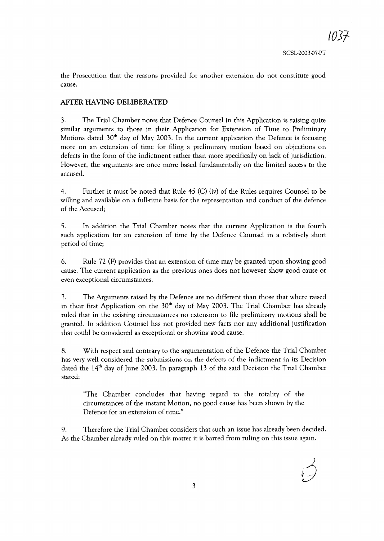*/037-*

the Prosecution that the reasons provided for another extension do not constitute good cause.

# AFfER HAVING DELIBERATED

3. The Trial Chamber notes that Defence Counsel in this Application is raising quite similar arguments to those in their Application for Extension of Time to Preliminary Motions dated  $30<sup>th</sup>$  day of May 2003. In the current application the Defence is focusing more on an extension of time for filing a preliminary motion based on objections on defects in the form of the indictment rather than more specifically on lack of jurisdiction. However, the arguments are once more based fundamentally on the limited access to the accused.

4. Further it must be noted that Rule 45 (C) (iv) of the Rules requires Counsel to be willing and available on a full-time basis for the representation and conduct of the defence of the Accused;

5. In addition the Trial Chamber notes that the current Application is the fourth such application for an extension of time by the Defence Counsel in a relatively short period of time;

6. Rule 72 (F) provides that an extension of time may be granted upon showing good cause. The current application as the previous ones does not however show good cause or even exceptional circumstances.

7. The Arguments raised by the Defence are no different than those that where raised in their first Application on the  $30<sup>th</sup>$  day of May 2003. The Trial Chamber has already ruled that in the existing circumstances no extension to file preliminary motions shall be granted. In addition Counsel has not provided new facts nor any additional justification that could be considered as exceptional or showing good cause.

8. With respect and contrary to the argumentation of the Defence the Trial Chamber has very well considered the submissions on the defects of the indictment in its Decision dated the 14<sup>th</sup> day of June 2003. In paragraph 13 of the said Decision the Trial Chamber stated:

"The Chamber concludes that having regard to the totality of the circumstances of the instant Motion, no good cause has been shown by the Defence for an extension of time."

9. Therefore the Trial Chamber considers that such an issue has already been decided. As the Chamber already ruled on this matter it is barred from ruling on this issue again.